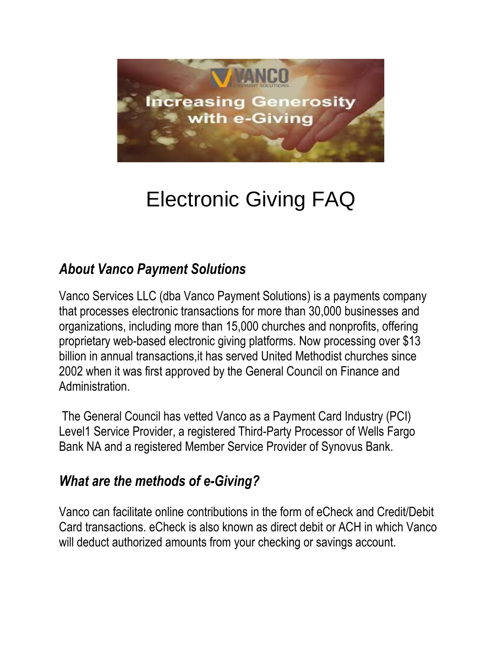

# Electronic Giving FAQ

## *About Vanco Payment Solutions*

Vanco Services LLC (dba Vanco Payment Solutions) is a payments company that processes electronic transactions for more than 30,000 businesses and organizations, including more than 15,000 churches and nonprofits, offering proprietary web-based electronic giving platforms. Now processing over \$13 billion in annual transactions,it has served United Methodist churches since 2002 when it was first approved by the General Council on Finance and Administration.

The General Council has vetted Vanco as a Payment Card Industry (PCI) Level1 Service Provider, a registered Third-Party Processor of Wells Fargo Bank NA and a registered Member Service Provider of Synovus Bank.

#### *What are the methods of e-Giving?*

Vanco can facilitate online contributions in the form of eCheck and Credit/Debit Card transactions. eCheck is also known as direct debit or ACH in which Vanco will deduct authorized amounts from your checking or savings account.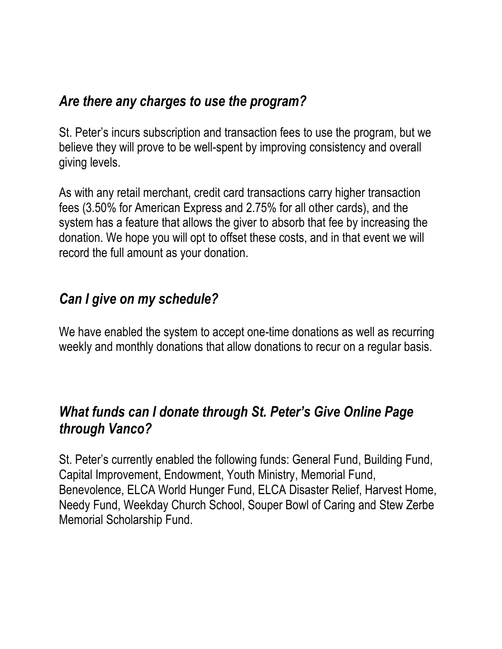#### *Are there any charges to use the program?*

St. Peter's incurs subscription and transaction fees to use the program, but we believe they will prove to be well-spent by improving consistency and overall giving levels.

As with any retail merchant, credit card transactions carry higher transaction fees (3.50% for American Express and 2.75% for all other cards), and the system has a feature that allows the giver to absorb that fee by increasing the donation. We hope you will opt to offset these costs, and in that event we will record the full amount as your donation.

#### *Can I give on my schedule?*

We have enabled the system to accept one-time donations as well as recurring weekly and monthly donations that allow donations to recur on a regular basis.

#### *What funds can I donate through St. Peter's Give Online Page through Vanco?*

St. Peter's currently enabled the following funds: General Fund, Building Fund, Capital Improvement, Endowment, Youth Ministry, Memorial Fund, Benevolence, ELCA World Hunger Fund, ELCA Disaster Relief, Harvest Home, Needy Fund, Weekday Church School, Souper Bowl of Caring and Stew Zerbe Memorial Scholarship Fund.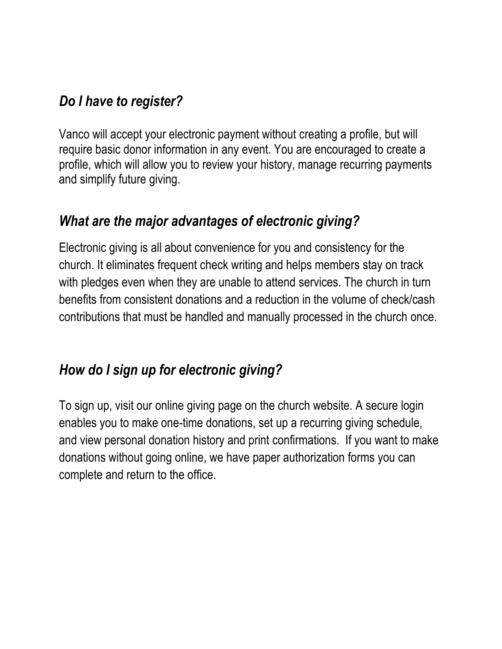# *Do I have to register?*

Vanco will accept your electronic payment without creating a profile, but will require basic donor information in any event. You are encouraged to create a profile, which will allow you to review your history, manage recurring payments and simplify future giving.

## *What are the major advantages of electronic giving?*

Electronic giving is all about convenience for you and consistency for the church. It eliminates frequent check writing and helps members stay on track with pledges even when they are unable to attend services. The church in turn benefits from consistent donations and a reduction in the volume of check/cash contributions that must be handled and manually processed in the church once.

# *How do I sign up for electronic giving?*

To sign up, visit our online giving page on the church website. A secure login enables you to make one-time donations, set up a recurring giving schedule, and view personal donation history and print confirmations. If you want to make donations without going online, we have paper authorization forms you can complete and return to the office.